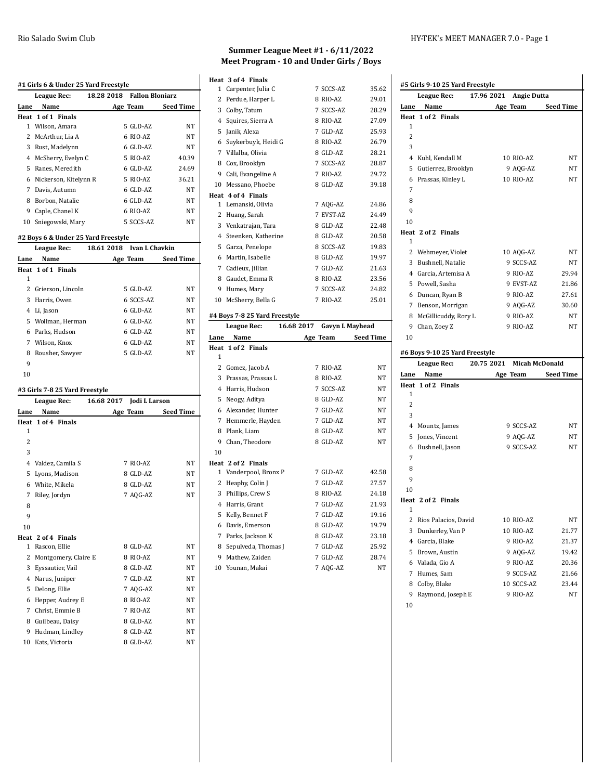|                | #1 Girls 6 & Under 25 Yard Freestyle |                                      |           |
|----------------|--------------------------------------|--------------------------------------|-----------|
|                | <b>League Rec:</b>                   | 18.28 2018<br><b>Fallon Bloniarz</b> |           |
| Lane           | Name                                 | Age Team                             | Seed Time |
|                | Heat 1 of 1 Finals                   |                                      |           |
| $\mathbf{1}$   | Wilson, Amara                        | 5 GLD-AZ                             | NΤ        |
|                | 2 McArthur, Lia A                    | 6 RIO-AZ                             | NΤ        |
|                | 3 Rust, Madelynn                     | 6 GLD-AZ                             | NΤ        |
|                | 4 McSherry, Evelyn C                 | 5 RIO-AZ                             | 40.39     |
|                | 5 Ranes, Meredith                    | 6 GLD-AZ                             | 24.69     |
|                | 6 Nickerson, Kitelynn R              | 5 RIO-AZ                             | 36.21     |
|                | 7 Davis, Autumn                      | 6 GLD-AZ                             | NT        |
|                | 8 Borbon, Natalie                    | 6 GLD-AZ                             | NT        |
|                | 9 Caple, Chanel K                    | 6 RIO-AZ                             | NT        |
|                | 10 Sniegowski, Mary                  | 5 SCCS-AZ                            | NT        |
|                | #2 Boys 6 & Under 25 Yard Freestyle  |                                      |           |
|                | League Rec:                          | 18.61 2018 Ivan L Chavkin            |           |
| Lane           | Name                                 | Age Team                             | Seed Time |
|                | Heat 1 of 1 Finals                   |                                      |           |
| 1              |                                      |                                      |           |
|                | 2 Grierson, Lincoln                  | 5 GLD-AZ                             | NT        |
|                | 3 Harris, Owen                       | 6 SCCS-AZ                            | NT        |
|                | 4 Li, Jason                          | 6 GLD-AZ                             | NT        |
|                | 5 Wollman, Herman                    | 6 GLD-AZ                             | NT        |
|                | 6 Parks, Hudson                      | 6 GLD-AZ                             | NT        |
|                | 7 Wilson, Knox                       | 6 GLD-AZ                             | NT        |
|                | 8 Rousher, Sawyer                    | 5 GLD-AZ                             | NT        |
| 9              |                                      |                                      |           |
| 10             |                                      |                                      |           |
|                | #3 Girls 7-8 25 Yard Freestyle       |                                      |           |
|                | <b>League Rec:</b>                   | 16.68 2017<br>Jodi L Larson          |           |
| Lane           | Name                                 | Age Team                             | Seed Time |
| Heat           | 1 of 4 Finals                        |                                      |           |
| 1              |                                      |                                      |           |
| $\overline{c}$ |                                      |                                      |           |
| 3              |                                      |                                      |           |
|                | 4 Valdez, Camila S                   | 7 RIO-AZ                             | NΤ        |
| 5              | Lyons, Madison                       | 8 GLD-AZ                             | NΤ        |
|                | 6 White, Mikela                      | 8 GLD-AZ                             | NT        |
| 7              | Riley, Jordyn                        | 7 AOG-AZ                             | NT        |
| 8              |                                      |                                      |           |
| 9              |                                      |                                      |           |
| 10             |                                      |                                      |           |
|                | Heat 2 of 4 Finals                   |                                      |           |
| $\mathbf{1}$   | Rascon, Ellie                        | 8 GLD-AZ                             | NT        |
|                | 2 Montgomery, Claire E               | 8 RIO-AZ                             | NΤ        |
|                | 3 Eyssautier, Vail                   | 8 GLD-AZ                             | NT        |
|                | 4 Narus, Juniper                     | 7 GLD-AZ                             | NT        |
|                | 5 Delong, Ellie                      | 7 AQG-AZ                             | NΤ        |
|                | 6 Hepper, Audrey E                   | 8 RIO-AZ                             | NT        |
|                | 7 Christ, Emmie B                    | 7 RIO-AZ                             | NΤ        |
|                | 8 Guilbeau, Daisy                    | 8 GLD-AZ                             | NΤ        |
|                | 9 Hudman, Lindley                    | 8 GLD-AZ                             | NT        |
|                | 10 Kats, Victoria                    | 8 GLD-AZ                             | NT        |

#### **Summer League Meet #1 - 6/11/2022 Meet Program - 10 and Under Girls / Boys**

|                | Heat 3 of 4 Finals              |          |                                     |
|----------------|---------------------------------|----------|-------------------------------------|
| 1              | Carpenter, Julia C              |          | 7 SCCS-AZ<br>35.62                  |
|                | 2 Perdue, Harper L              |          | 8 RIO-AZ<br>29.01                   |
| 3              | Colby, Tatum                    |          | 7 SCCS-AZ<br>28.29                  |
|                | 4 Squires, Sierra A             |          | 8 RIO-AZ<br>27.09                   |
| 5              | Janik, Alexa                    |          | 7 GLD-AZ<br>25.93                   |
|                | 6 Suykerbuyk, Heidi G           |          | 8 RIO-AZ<br>26.79                   |
|                | 7 Villalba, Olivia              |          | 8 GLD-AZ<br>28.21                   |
|                | 8 Cox, Brooklyn                 |          | 7 SCCS-AZ<br>28.87                  |
|                | 9 Cali, Evangeline A            |          | 7 RIO-AZ<br>29.72                   |
|                | 10 Messano, Phoebe              |          | 8 GLD-AZ<br>39.18                   |
|                | Heat 4 of 4 Finals              |          |                                     |
| 1              | Lemanski, Olivia                |          | 7 AQG-AZ<br>24.86                   |
| 2              | Huang, Sarah                    |          | 7 EVST-AZ<br>24.49                  |
|                | 3 Venkatrajan, Tara             |          | 22.48<br>8 GLD-AZ                   |
|                | 4 Steenken, Katherine           |          | 8 GLD-AZ<br>20.58                   |
| 5              | Garza, Penelope                 |          | 8 SCCS-AZ<br>19.83                  |
| 6              | Martin, Isabelle                |          | 8 GLD-AZ<br>19.97                   |
| $\overline{7}$ | Cadieux, Jillian                |          | 7 GLD-AZ<br>21.63                   |
|                | 8 Gaudet, Emma R                |          | 23.56<br>8 RIO-AZ                   |
| 9              | Humes, Mary                     |          | 7 SCCS-AZ<br>24.82                  |
| 10             | McSherry, Bella G               |          | 7 RIO-AZ<br>25.01                   |
|                | #4 Boys 7-8 25 Yard Freestyle   |          |                                     |
|                |                                 |          |                                     |
|                | League Rec:                     |          | 16.68 2017 Gavyn L Mayhead          |
| Lane           | Name                            | Age Team | <b>Seed Time</b>                    |
|                | Heat 1 of 2 Finals              |          |                                     |
| $\mathbf{1}$   |                                 |          |                                     |
|                | 2 Gomez, Jacob A                |          | 7 RIO-AZ<br>NT                      |
|                | 3 Prassas, Prassas L            |          | 8 RIO-AZ<br>NT                      |
|                | 4 Harris, Hudson                |          | 7 SCCS-AZ<br>NT                     |
| 5              | Neogy, Aditya                   |          | 8 GLD-AZ<br>NT                      |
| 6              | Alexander, Hunter               |          | 7 GLD-AZ<br>NT                      |
| 7              | Hemmerle, Hayden                |          | 7 GLD-AZ<br>NT                      |
|                | 8 Plank, Liam                   |          | NT<br>8 GLD-AZ                      |
| 9              | Chan, Theodore                  |          | 8 GLD-AZ<br>NT                      |
| 10             |                                 |          |                                     |
|                | Heat 2 of 2 Finals              |          |                                     |
| $\mathbf{1}$   | Vanderpool, Bronx P             |          | 7 GLD-AZ<br>42.58                   |
| 2              | Heaphy, Colin J                 |          | 7 GLD-AZ<br>27.57                   |
|                | 3 Phillips, Crew S              |          | 8 RIO-AZ<br>24.18                   |
| $\overline{4}$ | Harris, Grant                   |          | 7 GLD-AZ<br>21.93                   |
| 5              | Kelly, Bennet F                 |          | 7 GLD-AZ<br>19.16                   |
| 6              | Davis, Emerson                  |          | 8 GLD-AZ<br>19.79                   |
| 7              | Parks, Jackson K                |          | 23.18<br>8 GLD-AZ                   |
| 8              | Sepulveda, Thomas J             |          | 7 GLD-AZ<br>25.92                   |
| 9<br>10        | Mathew, Zaiden<br>Younan, Makai |          | 28.74<br>7 GLD-AZ<br>7 AQG-AZ<br>NT |

|                | #5 Girls 9-10 25 Yard Freestyle<br>League Rec: | 17.96 2021<br><b>Angie Dutta</b>    |                  |
|----------------|------------------------------------------------|-------------------------------------|------------------|
| Lane           | Name                                           | Age Team                            | <b>Seed Time</b> |
|                | Heat 1 of 2 Finals                             |                                     |                  |
| 1              |                                                |                                     |                  |
| 2              |                                                |                                     |                  |
| 3              |                                                |                                     |                  |
| 4              | Kuhl, Kendall M                                | 10 RIO-AZ                           | NΤ               |
| 5              | Gutierrez, Brooklyn                            | 9 AQG-AZ                            | NΤ               |
| 6              | Prassas, Kinley L                              | 10 RIO-AZ                           | NT               |
| 7              |                                                |                                     |                  |
| 8              |                                                |                                     |                  |
| 9              |                                                |                                     |                  |
| 10             |                                                |                                     |                  |
|                | Heat 2 of 2 Finals                             |                                     |                  |
| 1              |                                                |                                     |                  |
| 2              | Wehmeyer, Violet                               | 10 AQG-AZ                           | NΤ               |
|                | 3 Bushnell, Natalie                            | 9 SCCS-AZ                           | NT               |
|                | 4 Garcia, Artemisa A                           | 9 RIO-AZ                            | 29.94            |
|                | 5 Powell, Sasha                                | 9 EVST-AZ                           | 21.86            |
|                | 6 Duncan, Ryan B                               | 9 RIO-AZ                            | 27.61            |
|                | 7 Benson, Morrigan                             | 9 AQG-AZ                            | 30.60            |
|                | 8 McGillicuddy, Rory L                         | 9 RIO-AZ                            | NT               |
|                | 9 Chan, Zoey Z                                 | 9 RIO-AZ                            | NT               |
| 10             |                                                |                                     |                  |
|                | #6 Boys 9-10 25 Yard Freestyle                 |                                     |                  |
|                |                                                |                                     |                  |
|                | League Rec:                                    | 20.75 2021<br><b>Micah McDonald</b> |                  |
| Lane           | Name                                           | Age Team                            | Seed Time        |
|                | Heat 1 of 2 Finals                             |                                     |                  |
| 1              |                                                |                                     |                  |
| $\overline{c}$ |                                                |                                     |                  |
| 3              |                                                |                                     |                  |
| 4              | Mountz, James                                  | 9 SCCS-AZ                           | NΤ               |
| 5              | Jones, Vincent                                 | 9 AQG-AZ                            | NΤ               |
| 6              | Bushnell, Jason                                | 9 SCCS-AZ                           | NΤ               |
| 7              |                                                |                                     |                  |
| 8              |                                                |                                     |                  |
| 9              |                                                |                                     |                  |
| 10             |                                                |                                     |                  |
| 1              | Heat 2 of 2 Finals                             |                                     |                  |
|                |                                                |                                     |                  |
| 2              | Rios Palacios, David                           | 10 RIO-AZ                           | NΤ               |
| 3              | Dunkerley, Van P                               | 10 RIO-AZ                           | 21.77            |
|                | 4 Garcia, Blake                                | 9 RIO-AZ                            | 21.37            |
| 5              | Brown, Austin                                  | 9 AQG-AZ                            | 19.42            |
|                | 6 Valada, Gio A                                | 9 RIO-AZ                            | 20.36            |
| 7              | Humes, Sam                                     | 9 SCCS-AZ                           | 21.66            |
| 8<br>9         | Colby, Blake<br>Raymond, Joseph E              | 10 SCCS-AZ<br>9 RIO-AZ              | 23.44<br>NΤ      |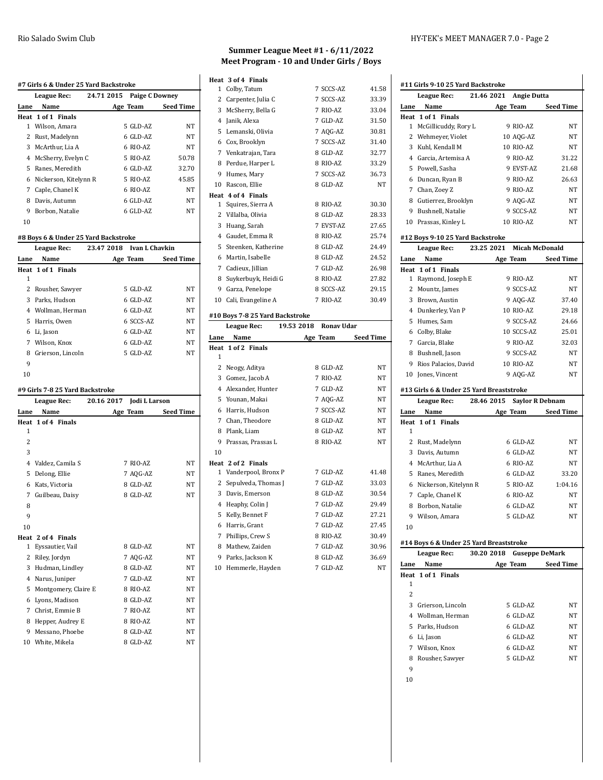|                | #7 Girls 6 & Under 25 Yard Backstroke |            |                       |           |
|----------------|---------------------------------------|------------|-----------------------|-----------|
|                | League Rec:                           | 24.71 2015 | <b>Paige C Downey</b> |           |
| Lane           | Name                                  |            | Age Team              | Seed Time |
|                | Heat 1 of 1 Finals                    |            |                       |           |
| 1              | Wilson, Amara                         |            | 5 GLD-AZ              | NT        |
| 2              | Rust, Madelynn                        |            | 6 GLD-AZ              | NT        |
|                | 3 McArthur, Lia A                     |            | 6 RIO-AZ              | NΤ        |
|                | 4 McSherry, Evelyn C                  |            | 5 RIO-AZ              | 50.78     |
|                | 5 Ranes, Meredith                     |            | 6 GLD-AZ              | 32.70     |
|                | 6 Nickerson, Kitelynn R               |            | 5 RIO-AZ              | 45.85     |
| 7              | Caple, Chanel K                       |            | 6 RIO-AZ              | NT        |
|                | 8 Davis, Autumn                       |            | 6 GLD-AZ              | NΤ        |
| 9              | Borbon, Natalie                       |            | 6 GLD-AZ              | NT        |
| 10             |                                       |            |                       |           |
|                | #8 Boys 6 & Under 25 Yard Backstroke  |            |                       |           |
|                | League Rec:                           | 23.47 2018 | <b>Ivan L Chavkin</b> |           |
| Lane           | Name                                  |            | Age Team              | Seed Time |
|                | Heat 1 of 1 Finals                    |            |                       |           |
| 1              |                                       |            |                       |           |
| $\overline{2}$ | Rousher, Sawyer                       |            | 5 GLD-AZ              | NT        |
|                | 3 Parks, Hudson                       |            | 6 GLD-AZ              | NT        |
|                | 4 Wollman, Herman                     |            | 6 GLD-AZ              | NT        |
|                | 5 Harris, Owen                        |            | 6 SCCS-AZ             | NΤ        |
|                | 6 Li, Jason                           |            | 6 GLD-AZ              | NT        |
|                | 7 Wilson, Knox                        |            | 6 GLD-AZ              | NT        |
|                | 8 Grierson, Lincoln                   |            | 5 GLD-AZ              | NT        |
| 9              |                                       |            |                       |           |
|                |                                       |            |                       |           |
| 10             |                                       |            |                       |           |
|                | #9 Girls 7-8 25 Yard Backstroke       |            |                       |           |
|                | League Rec:                           | 20.16 2017 | Jodi L Larson         |           |
| Lane           | Name                                  |            | Age Team              | Seed Time |
|                | Heat 1 of 4 Finals                    |            |                       |           |
| 1              |                                       |            |                       |           |
| 2              |                                       |            |                       |           |
| 3              |                                       |            |                       |           |
|                | 4 Valdez, Camila S                    |            | 7 RIO-AZ              | NT        |
| 5              | Delong, Ellie                         |            | 7 AQG-AZ              | NT        |
| 6              | Kats, Victoria                        |            | 8 GLD-AZ              | NT        |
| 7              | Guilbeau, Daisy                       |            | 8 GLD-AZ              | NT        |
| 8              |                                       |            |                       |           |
| 9              |                                       |            |                       |           |
| 10             |                                       |            |                       |           |
|                | Heat 2 of 4 Finals                    |            |                       |           |
| 1              | Eyssautier, Vail                      |            | 8 GLD-AZ              | NT        |
|                | 2 Riley, Jordyn                       |            | 7 AQG-AZ              | NT        |
|                | 3 Hudman, Lindley                     |            | 8 GLD-AZ              | NT        |
| 4              | Narus, Juniper                        |            | 7 GLD-AZ              | NT        |
| 5              | Montgomery, Claire E                  |            | 8 RIO-AZ              | NT        |
| 6              | Lyons, Madison                        |            | 8 GLD-AZ              | NT        |
|                | 7 Christ, Emmie B                     |            | 7 RIO-AZ              | NT        |
| 9              | 8 Hepper, Audrey E<br>Messano, Phoebe |            | 8 RIO-AZ<br>8 GLD-AZ  | NT<br>NT  |

#### **Summer League Meet #1 - 6/11/2022 Meet Program - 10 and Under Girls / Boys**

|                | Heat 3 of 4 Finals                   |                                 |                  |
|----------------|--------------------------------------|---------------------------------|------------------|
| $\mathbf{1}$   | Colby, Tatum                         | 7 SCCS-AZ                       | 41.58            |
| 2              | Carpenter, Julia C                   | 7 SCCS-AZ                       | 33.39            |
| 3              | McSherry, Bella G                    | 7 RIO-AZ                        | 33.04            |
| 4              | Janik, Alexa                         | 7 GLD-AZ                        | 31.50            |
| 5              | Lemanski, Olivia                     | 7 AQG-AZ                        | 30.81            |
|                | 6 Cox, Brooklyn                      | 7 SCCS-AZ                       | 31.40            |
|                | 7 Venkatrajan, Tara                  | 8 GLD-AZ                        | 32.77            |
| 8              | Perdue, Harper L                     | 8 RIO-AZ                        | 33.29            |
| 9              | Humes, Mary                          | 7 SCCS-AZ                       | 36.73            |
|                | 10 Rascon, Ellie                     | 8 GLD-AZ                        | <b>NT</b>        |
|                | Heat 4 of 4 Finals                   |                                 |                  |
| 1              | Squires, Sierra A                    | 8 RIO-AZ                        | 30.30            |
| 2              | Villalba, Olivia                     | 8 GLD-AZ                        | 28.33            |
| 3              | Huang, Sarah                         | 7 EVST-AZ                       | 27.65            |
|                | 4 Gaudet, Emma R                     | 8 RIO-AZ                        | 25.74            |
| 5              | Steenken, Katherine                  | 8 GLD-AZ                        | 24.49            |
| 6              | Martin, Isabelle                     | 8 GLD-AZ                        | 24.52            |
| 7              | Cadieux, Jillian                     | 7 GLD-AZ                        | 26.98            |
| 8              | Suykerbuyk, Heidi G                  | 8 RIO-AZ                        | 27.82            |
| 9              | Garza, Penelope                      | 8 SCCS-AZ                       | 29.15            |
|                | 10 Cali, Evangeline A                | 7 RIO-AZ                        | 30.49            |
|                | #10 Boys 7-8 25 Yard Backstroke      |                                 |                  |
|                |                                      |                                 |                  |
|                | League Rec:                          | 19.53 2018<br><b>Ronav Udar</b> |                  |
| Lane           | Name                                 | Age Team                        | <b>Seed Time</b> |
|                | Heat 1 of 2 Finals                   |                                 |                  |
| $\mathbf{1}$   |                                      |                                 |                  |
| 2              | Neogy, Aditya                        | 8 GLD-AZ                        | NT               |
| 3              | Gomez, Jacob A                       | 7 RIO-AZ                        | NT               |
|                | 4 Alexander, Hunter                  | 7 GLD-AZ                        | <b>NT</b>        |
| 5              | Younan, Makai                        | 7 AQG-AZ                        | NT               |
| 6              | Harris, Hudson                       | 7 SCCS-AZ                       | NT               |
| 7              | Chan, Theodore                       | 8 GLD-AZ                        | NT               |
| 8              | Plank, Liam                          | 8 GLD-AZ                        | NT               |
|                | 9 Prassas, Prassas L                 | 8 RIO-AZ                        | <b>NT</b>        |
| 10             |                                      |                                 |                  |
|                | Heat 2 of 2 Finals                   |                                 |                  |
| 1              | Vanderpool, Bronx P                  | 7 GLD-AZ                        | 41.48            |
| 2              | Sepulveda, Thomas J                  | 7 GLD-AZ                        | 33.03            |
| 3              | Davis, Emerson                       | 8 GLD-AZ                        | 30.54            |
| $\overline{4}$ | Heaphy, Colin J                      | 7 GLD-AZ                        | 29.49            |
| 5              | Kelly, Bennet F                      | 7 GLD-AZ                        | 27.21            |
| 6              | Harris, Grant                        | 7 GLD-AZ                        | 27.45            |
| 7              | Phillips, Crew S                     | 8 RIO-AZ                        | 30.49            |
| 8              | Mathew, Zaiden                       | 7 GLD-AZ                        | 30.96            |
| 9<br>10        | Parks, Jackson K<br>Hemmerle, Hayden | 8 GLD-AZ<br>7 GLD-AZ            | 36.69<br>NT      |

### **#11 Girls 9-10 25 Yard Backstroke**

|                | <b>League Rec:</b>                       | 21.46 2021                 | <b>Angie Dutta</b>    |                  |
|----------------|------------------------------------------|----------------------------|-----------------------|------------------|
| Lane           | Name                                     |                            | Age Team              | Seed Time        |
|                | Heat 1 of 1 Finals                       |                            |                       |                  |
| 1              | McGillicuddy, Rory L                     |                            | 9 RIO-AZ              | NΤ               |
|                | 2 Wehmeyer, Violet                       |                            | 10 AQG-AZ             | NT               |
|                | 3 Kuhl, Kendall M                        |                            | 10 RIO-AZ             | NT               |
|                | 4 Garcia, Artemisa A                     |                            | 9 RIO-AZ              | 31.22            |
|                | 5 Powell, Sasha                          |                            | 9 EVST-AZ             | 21.68            |
|                | 6 Duncan, Ryan B                         |                            | 9 RIO-AZ              | 26.63            |
|                |                                          |                            | 9 RIO-AZ              |                  |
|                | 7 Chan, Zoey Z                           |                            |                       | NT               |
|                | 8 Gutierrez, Brooklyn                    |                            | 9 AQG-AZ              | NΤ               |
|                | 9 Bushnell, Natalie                      |                            | 9 SCCS-AZ             | NΤ               |
|                | 10 Prassas, Kinley L                     |                            | 10 RIO-AZ             | NT               |
|                | #12 Boys 9-10 25 Yard Backstroke         |                            |                       |                  |
|                | League Rec:                              | 23.25 2021                 | <b>Micah McDonald</b> |                  |
| Lane           | Name                                     |                            | Age Team              | <b>Seed Time</b> |
| Heat           | 1 of 1 Finals                            |                            |                       |                  |
| 1              | Raymond, Joseph E                        |                            | 9 RIO-AZ              | NΤ               |
|                | 2 Mountz, James                          |                            | 9 SCCS-AZ             | NT               |
|                | 3 Brown, Austin                          |                            | 9 AQG-AZ              | 37.40            |
|                |                                          |                            | 10 RIO-AZ             | 29.18            |
|                | 4 Dunkerley, Van P                       |                            |                       |                  |
|                | 5 Humes, Sam                             |                            | 9 SCCS-AZ             | 24.66            |
|                | 6 Colby, Blake                           |                            | 10 SCCS-AZ            | 25.01            |
|                | 7 Garcia, Blake                          |                            | 9 RIO-AZ              | 32.03            |
|                | 8 Bushnell, Jason                        |                            | 9 SCCS-AZ             | NΤ               |
|                | 9 Rios Palacios, David                   |                            | 10 RIO-AZ             | <b>NT</b>        |
|                | 10 Jones, Vincent                        |                            | 9 AQG-AZ              | NT               |
|                | #13 Girls 6 & Under 25 Yard Breaststroke |                            |                       |                  |
|                |                                          |                            |                       |                  |
|                |                                          |                            |                       |                  |
|                | League Rec:                              | 28.46 2015 Saylor R Debnam |                       |                  |
| Lane           | Name                                     |                            | Age Team              | <b>Seed Time</b> |
|                | Heat 1 of 1 Finals                       |                            |                       |                  |
| 1              |                                          |                            |                       |                  |
|                | 2 Rust, Madelynn                         |                            | 6 GLD-AZ              | NΤ               |
|                | 3 Davis, Autumn                          |                            | 6 GLD-AZ              | NT               |
|                | 4 McArthur, Lia A                        |                            | 6 RIO-AZ              | NT               |
|                | 5 Ranes, Meredith                        |                            | 6 GLD-AZ              | 33.20            |
|                | 6 Nickerson, Kitelynn R                  |                            | 5 RIO-AZ              | 1:04.16          |
|                | 7 Caple, Chanel K                        |                            | 6 RIO-AZ              | NT               |
|                | 8 Borbon, Natalie                        |                            | 6 GLD-AZ              | NT               |
|                | 9 Wilson, Amara                          |                            | 5 GLD-AZ              | NT               |
| 10             |                                          |                            |                       |                  |
|                |                                          |                            |                       |                  |
|                | #14 Boys 6 & Under 25 Yard Breaststroke  |                            |                       |                  |
|                | <b>League Rec:</b>                       | 30.20 2018                 | <b>Guseppe DeMark</b> |                  |
| Lane           | Name                                     |                            | Age Team              | <b>Seed Time</b> |
| 1              | Heat 1 of 1 Finals                       |                            |                       |                  |
|                |                                          |                            |                       |                  |
| $\overline{2}$ |                                          |                            |                       |                  |
|                | 3 Grierson, Lincoln                      |                            | 5 GLD-AZ              | NΤ               |
|                | 4 Wollman, Herman                        |                            | 6 GLD-AZ              | NΤ               |
|                | 5 Parks, Hudson                          |                            | 6 GLD-AZ              | NΤ               |
|                | 6 Li, Jason                              |                            | 6 GLD-AZ              | NΤ               |
| 7              | Wilson, Knox                             |                            | 6 GLD-AZ              | NT               |
| 8              | Rousher, Sawyer                          |                            | 5 GLD-AZ              | <b>NT</b>        |
| 9              |                                          |                            |                       |                  |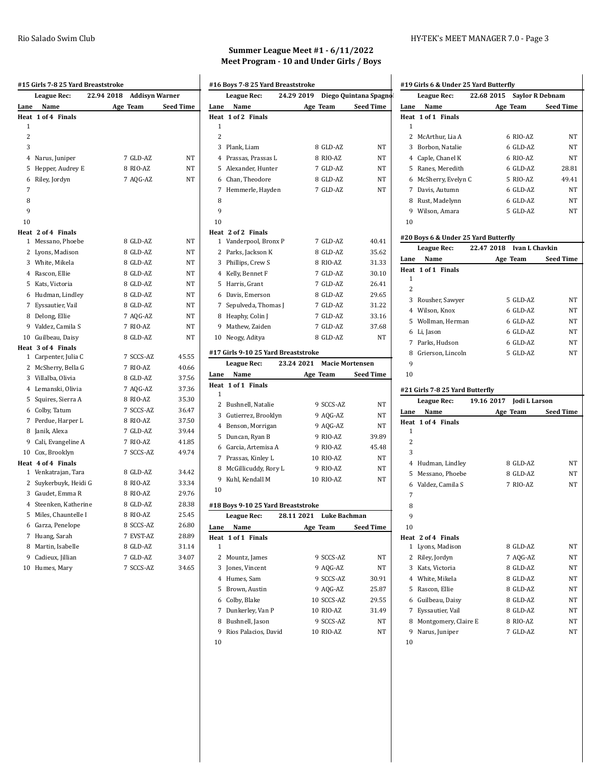|                | #15 Girls 7-8 25 Yard Breaststroke       |            |                |                  |
|----------------|------------------------------------------|------------|----------------|------------------|
|                | <b>League Rec:</b>                       | 22.94 2018 | Addisyn Warner |                  |
| Lane           | Name                                     |            | Age Team       | <b>Seed Time</b> |
| Heat           | 1 of 4 Finals                            |            |                |                  |
| 1              |                                          |            |                |                  |
| $\overline{2}$ |                                          |            |                |                  |
| 3              |                                          |            |                |                  |
|                | 4 Narus, Juniper                         |            | 7 GLD-AZ       | NT               |
|                | 5 Hepper, Audrey E                       |            | 8 RIO-AZ       | <b>NT</b>        |
| 6              | Riley, Jordyn                            |            | 7 AQG-AZ       | NT               |
| 7              |                                          |            |                |                  |
| 8              |                                          |            |                |                  |
| 9              |                                          |            |                |                  |
| 10             |                                          |            |                |                  |
|                | Heat 2 of 4 Finals                       |            |                |                  |
|                | 1 Messano, Phoebe                        |            | 8 GLD-AZ       | NT               |
|                | 2 Lyons, Madison                         |            | 8 GLD-AZ       | NT               |
|                | 3 White, Mikela                          |            | 8 GLD-AZ       | NT               |
|                | 4 Rascon, Ellie                          |            | 8 GLD-AZ       | <b>NT</b>        |
|                | 5 Kats, Victoria                         |            | 8 GLD-AZ       | NT               |
|                | 6 Hudman, Lindley                        |            | 8 GLD-AZ       | <b>NT</b>        |
|                | 7 Eyssautier, Vail                       |            | 8 GLD-AZ       | NT               |
|                | 8 Delong, Ellie                          |            | 7 AQG-AZ       | NT               |
|                | 9 Valdez, Camila S                       |            | 7 RIO-AZ       | NT               |
|                | 10 Guilbeau, Daisy<br>Heat 3 of 4 Finals |            | 8 GLD-AZ       | NT               |
|                | 1 Carpenter, Julia C                     |            | 7 SCCS-AZ      | 45.55            |
|                | 2 McSherry, Bella G                      |            | 7 RIO-AZ       | 40.66            |
|                | 3 Villalba, Olivia                       |            | 8 GLD-AZ       | 37.56            |
|                | 4 Lemanski, Olivia                       |            | 7 AQG-AZ       | 37.36            |
|                | 5 Squires, Sierra A                      |            | 8 RIO-AZ       | 35.30            |
|                | 6 Colby, Tatum                           |            | 7 SCCS-AZ      | 36.47            |
|                | 7 Perdue, Harper L                       |            | 8 RIO-AZ       | 37.50            |
|                | 8 Janik, Alexa                           |            | 7 GLD-AZ       | 39.44            |
|                | 9 Cali, Evangeline A                     |            | 7 RIO-AZ       | 41.85            |
|                | 10 Cox, Brooklyn                         |            | 7 SCCS-AZ      | 49.74            |
|                | Heat 4 of 4 Finals                       |            |                |                  |
|                | 1 Venkatrajan, Tara                      |            | 8 GLD-AZ       | 34.42            |
|                | 2 Suykerbuyk, Heidi G                    |            | 8 RIO-AZ       | 33.34            |
|                | 3 Gaudet, Emma R                         |            | 8 RIO-AZ       | 29.76            |
|                | 4 Steenken, Katherine                    |            | 8 GLD-AZ       | 28.38            |
|                | 5 Miles, Chauntelle I                    |            | 8 RIO-AZ       | 25.45            |
|                | 6 Garza, Penelope                        |            | 8 SCCS-AZ      | 26.80            |
|                | 7 Huang, Sarah                           |            | 7 EVST-AZ      | 28.89            |
|                | 8 Martin, Isabelle                       |            | 8 GLD-AZ       | 31.14            |
|                | 9 Cadieux, Jillian                       |            | 7 GLD-AZ       | 34.07            |
|                | 10 Humes, Mary                           |            | 7 SCCS-AZ      | 34.65            |
|                |                                          |            |                |                  |

#### **Summer League Meet #1 - 6/11/2022 Meet Program - 10 and Under Girls / Boys**

|                   | League Rec:                         | 24.29 2019                           | Diego Quintana Spagnol |
|-------------------|-------------------------------------|--------------------------------------|------------------------|
| Lane              | Name                                | Age Team                             | <b>Seed Time</b>       |
|                   | Heat 1 of 2 Finals                  |                                      |                        |
| 1                 |                                     |                                      |                        |
| 2                 |                                     |                                      |                        |
|                   | 3 Plank, Liam                       | 8 GLD-AZ                             | NΤ                     |
|                   | 4 Prassas, Prassas L                | 8 RIO-AZ                             | NΤ                     |
|                   | 5 Alexander, Hunter                 | 7 GLD-AZ                             | NΤ                     |
|                   | 6 Chan, Theodore                    | 8 GLD-AZ                             | NT                     |
| $7^{\circ}$       | Hemmerle, Hayden                    | 7 GLD-AZ                             | NT                     |
| 8                 |                                     |                                      |                        |
| 9                 |                                     |                                      |                        |
| 10                |                                     |                                      |                        |
|                   | Heat 2 of 2 Finals                  |                                      |                        |
| 1                 | Vanderpool, Bronx P                 | 7 GLD-AZ                             | 40.41                  |
|                   | 2 Parks, Jackson K                  | 8 GLD-AZ                             | 35.62                  |
|                   | 3 Phillips, Crew S                  | 8 RIO-AZ                             | 31.33                  |
|                   | 4 Kelly, Bennet F                   | 7 GLD-AZ                             | 30.10                  |
|                   | 5 Harris, Grant                     | 7 GLD-AZ                             | 26.41                  |
|                   | 6 Davis, Emerson                    | 8 GLD-AZ                             | 29.65                  |
|                   | 7 Sepulveda, Thomas J               | 7 GLD-AZ                             | 31.22                  |
|                   | 8 Heaphy, Colin J                   | 7 GLD-AZ                             | 33.16                  |
|                   | 9 Mathew, Zaiden                    | 7 GLD-AZ                             | 37.68                  |
|                   | 10 Neogy, Aditya                    | 8 GLD-AZ                             | NT                     |
|                   |                                     |                                      |                        |
|                   | #17 Girls 9-10 25 Yard Breaststroke |                                      |                        |
|                   | <b>League Rec:</b>                  | 23.24 2021<br><b>Macie Mortensen</b> |                        |
| Lane<br>Heat      | Name<br>1 of 1 Finals               | Age Team                             | Seed Time              |
| 1                 |                                     |                                      |                        |
|                   |                                     |                                      |                        |
|                   |                                     |                                      |                        |
|                   | 2 Bushnell, Natalie                 | 9 SCCS-AZ                            | NΤ                     |
|                   | 3 Gutierrez, Brooklyn               | 9 AQG-AZ                             | NΤ                     |
|                   | 4 Benson, Morrigan                  | 9 AQG-AZ                             | NT                     |
|                   | 5 Duncan, Ryan B                    | 9 RIO-AZ                             | 39.89                  |
|                   | 6 Garcia, Artemisa A                | 9 RIO-AZ                             | 45.48                  |
|                   | 7 Prassas, Kinley L                 | 10 RIO-AZ                            | NΤ                     |
|                   | 8 McGillicuddy, Rory L              | 9 RIO-AZ                             | NΤ                     |
|                   | 9 Kuhl, Kendall M                   | 10 RIO-AZ                            | NT                     |
| 10                |                                     |                                      |                        |
|                   | #18 Boys 9-10 25 Yard Breaststroke  |                                      |                        |
|                   | League Rec:                         | 28.11 2021<br>Luke Bachman           |                        |
|                   | Name                                | Age Team                             | Seed Time              |
|                   | 1 of 1 Finals                       |                                      |                        |
| 1                 |                                     |                                      |                        |
|                   | 2 Mountz, James                     | 9 SCCS-AZ                            | NΤ                     |
| 3                 | Jones, Vincent                      | 9 AQG-AZ                             | NT                     |
|                   | 4 Humes, Sam                        | 9 SCCS-AZ                            | 30.91                  |
|                   | 5 Brown, Austin                     | 9 AQG-AZ                             | 25.87                  |
|                   | 6 Colby, Blake                      | 10 SCCS-AZ                           | 29.55                  |
| 7                 | Dunkerley, Van P                    | 10 RIO-AZ                            |                        |
|                   | 8 Bushnell, Jason                   | 9 SCCS-AZ                            | NΤ                     |
| Lane<br>Heat<br>9 | Rios Palacios, David                | 10 RIO-AZ                            | 31.49<br>NT            |

#### Rio Salado Swim Club **HY-TEK's MEET MANAGER 7.0** - Page 3

|                                           | #19 Girls 6 & Under 25 Yard Butterfly |
|-------------------------------------------|---------------------------------------|
| <b>League Rec:</b>                        | 22.68 2015<br><b>Saylor R Debnam</b>  |
| Name<br>Lane                              | Age Team<br><b>Seed Time</b>          |
| 1 of 1 Finals<br>Heat                     |                                       |
| 1                                         |                                       |
| 2<br>McArthur, Lia A                      | 6 RIO-AZ<br>NT                        |
| 3<br>Borbon, Natalie                      | 6 GLD-AZ<br>NT<br>6 RIO-AZ<br>NT      |
| 4 Caple, Chanel K<br>5 Ranes, Meredith    | 6 GLD-AZ<br>28.81                     |
| 6 McSherry, Evelyn C                      | 5 RIO-AZ<br>49.41                     |
| 7 Davis, Autumn                           | 6 GLD-AZ<br><b>NT</b>                 |
| Rust, Madelynn<br>8                       | 6 GLD-AZ<br><b>NT</b>                 |
| 9 Wilson, Amara                           | 5 GLD-AZ<br>NT                        |
| 10                                        |                                       |
| #20 Boys 6 & Under 25 Yard Butterfly      |                                       |
| League Rec:                               | 22.47 2018<br><b>Ivan L Chavkin</b>   |
| Lane<br>Name                              | Age Team<br><b>Seed Time</b>          |
| 1 of 1 Finals<br>Heat                     |                                       |
| 1<br>2                                    |                                       |
| 3<br>Rousher, Sawyer                      | 5 GLD-AZ<br>NT                        |
| 4 Wilson, Knox                            | 6 GLD-AZ<br>NT                        |
| Wollman, Herman<br>5                      | 6 GLD-AZ<br>NΤ                        |
| Li, Jason<br>6                            | 6 GLD-AZ<br>NT                        |
| Parks, Hudson<br>7                        | 6 GLD-AZ<br>NT                        |
| Grierson, Lincoln<br>8                    | 5 GLD-AZ<br>NT                        |
| 9                                         |                                       |
| 10                                        |                                       |
|                                           |                                       |
| #21 Girls 7-8 25 Yard Butterfly           |                                       |
| League Rec:                               | 19.16 2017<br>Jodi L Larson           |
| Name<br>Lane                              | Age Team<br><b>Seed Time</b>          |
| Heat 1 of 4 Finals                        |                                       |
| 1                                         |                                       |
| $\overline{c}$                            |                                       |
| 3                                         |                                       |
| 4 Hudman, Lindley                         | 8 GLD-AZ<br>NT                        |
| 5<br>Messano, Phoebe                      | 8 GLD-AZ<br>NT                        |
| Valdez, Camila S<br>6                     | 7 RIO-AZ<br>NT                        |
| 7                                         |                                       |
| 8                                         |                                       |
| 9                                         |                                       |
| 10                                        |                                       |
| Heat 2 of 4 Finals<br>1<br>Lyons, Madison | 8 GLD-AZ<br>NΤ                        |
| 2<br>Riley, Jordyn                        | 7 AQG-AZ<br>NΤ                        |
| 3<br>Kats, Victoria                       | 8 GLD-AZ<br>NΤ                        |
| 4 White, Mikela                           | 8 GLD-AZ<br>NT                        |
| 5<br>Rascon, Ellie                        | 8 GLD-AZ<br>NΤ                        |
| 6<br>Guilbeau, Daisy                      | 8 GLD-AZ<br>NT                        |
| 7<br>Eyssautier, Vail                     | 8 GLD-AZ<br>NΤ                        |
| 8<br>Montgomery, Claire E                 | 8 RIO-AZ<br>NΤ                        |
| 9<br>Narus, Juniper                       | 7 GLD-AZ<br>NΤ                        |